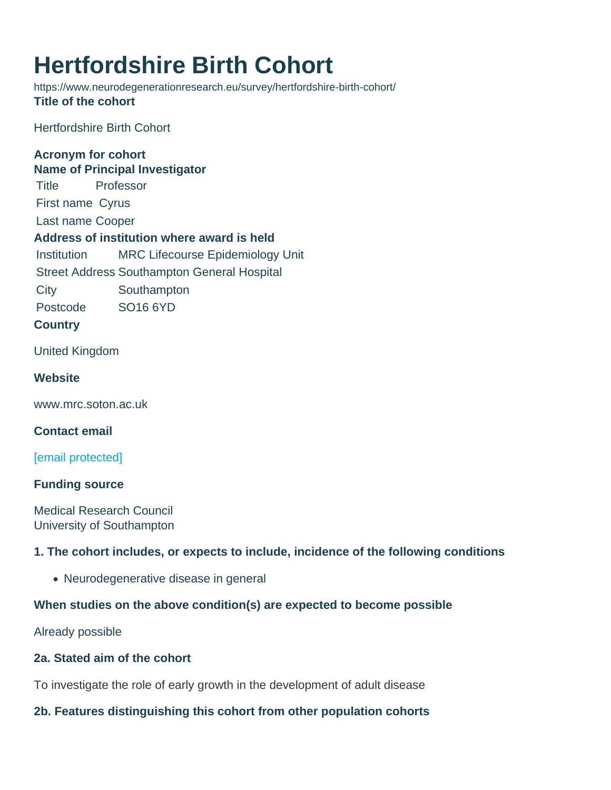# Hertfordshire Birth Cohort

https://www.neurodegenerationresearch.eu/survey/hertfordshire-birth-cohort/ Title of the cohort

Hertfordshire Birth Cohort

Acronym for cohort Name of Principal Investigator Title Professor First name Cyrus Last name Cooper Address of institution where award is held Institution MRC Lifecourse Epidemiology Unit Street Address Southampton General Hospital City Southampton Postcode SO16 6YD

**Country** 

United Kingdom

**Website** 

www.mrc.soton.ac.uk

Contact email

[\[email protected\]](/cdn-cgi/l/email-protection)

Funding source

Medical Research Council University of Southampton

1. The cohort includes, or expects to include, incidence of the following conditions

Neurodegenerative disease in general

When studies on the above condition(s) are expected to become possible

Already possible

2a. Stated aim of the cohort

To investigate the role of early growth in the development of adult disease

2b. Features distinguishing this cohort from other population cohorts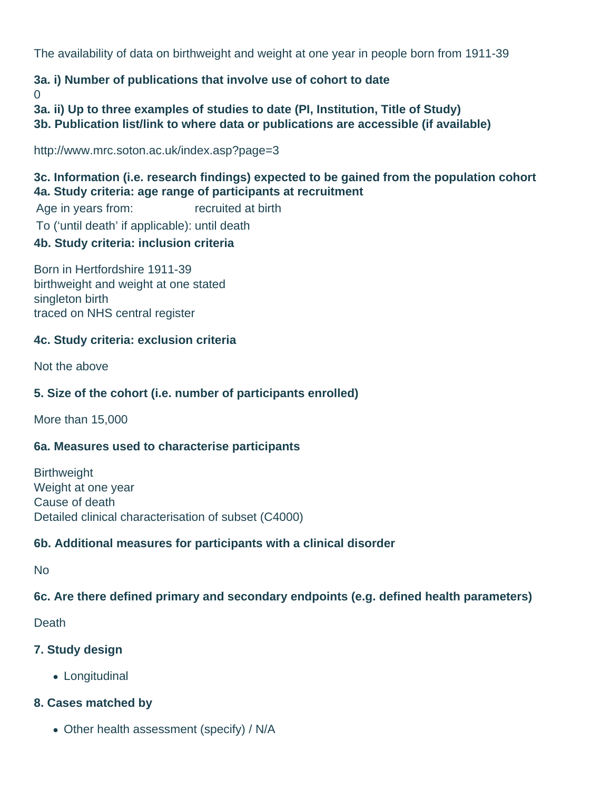The availability of data on birthweight and weight at one year in people born from 1911-39

# **3a. i) Number of publications that involve use of cohort to date**

 $\Omega$ 

**3a. ii) Up to three examples of studies to date (PI, Institution, Title of Study)**

**3b. Publication list/link to where data or publications are accessible (if available)**

http://www.mrc.soton.ac.uk/index.asp?page=3

**3c. Information (i.e. research findings) expected to be gained from the population cohort 4a. Study criteria: age range of participants at recruitment** Age in years from: recruited at birth

To ('until death' if applicable): until death

## **4b. Study criteria: inclusion criteria**

Born in Hertfordshire 1911-39 birthweight and weight at one stated singleton birth traced on NHS central register

#### **4c. Study criteria: exclusion criteria**

Not the above

### **5. Size of the cohort (i.e. number of participants enrolled)**

More than 15,000

#### **6a. Measures used to characterise participants**

**Birthweight** Weight at one year Cause of death Detailed clinical characterisation of subset (C4000)

#### **6b. Additional measures for participants with a clinical disorder**

No

#### **6c. Are there defined primary and secondary endpoints (e.g. defined health parameters)**

**Death** 

#### **7. Study design**

Longitudinal

#### **8. Cases matched by**

Other health assessment (specify) / N/A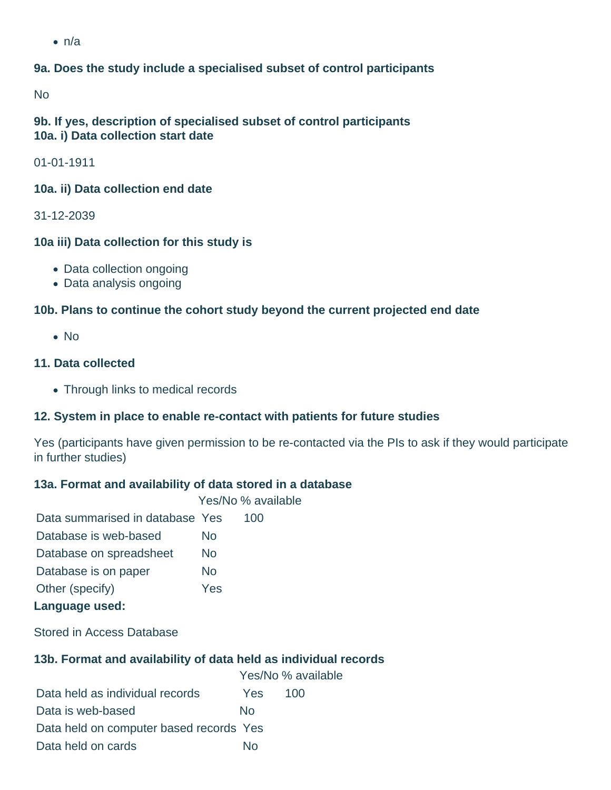$\cdot$  n/a

### **9a. Does the study include a specialised subset of control participants**

No

#### **9b. If yes, description of specialised subset of control participants 10a. i) Data collection start date**

01-01-1911

#### **10a. ii) Data collection end date**

31-12-2039

#### **10a iii) Data collection for this study is**

- Data collection ongoing
- Data analysis ongoing

#### **10b. Plans to continue the cohort study beyond the current projected end date**

 $\bullet$  No

#### **11. Data collected**

Through links to medical records

#### **12. System in place to enable re-contact with patients for future studies**

Yes (participants have given permission to be re-contacted via the PIs to ask if they would participate in further studies)

#### **13a. Format and availability of data stored in a database**

Yes/No % available

| Data summarised in database Yes |     | 100 |
|---------------------------------|-----|-----|
| Database is web-based           | No  |     |
| Database on spreadsheet         | No  |     |
| Database is on paper            | No  |     |
| Other (specify)                 | Yes |     |
| Language used:                  |     |     |

Stored in Access Database

#### **13b. Format and availability of data held as individual records**

|                                         |      | Yes/No % available |
|-----------------------------------------|------|--------------------|
| Data held as individual records         | Yes. | 100                |
| Data is web-based                       | Nο   |                    |
| Data held on computer based records Yes |      |                    |
| Data held on cards                      | N٥   |                    |